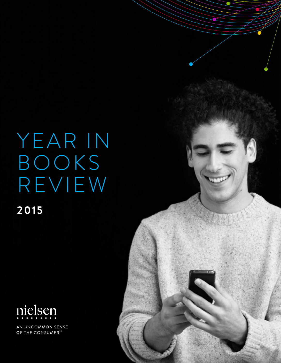YEAR IN BOOKS REVIEW **2015** 



AN UNCOMMON SENSE OF THE CONSUMER<sup>TM</sup>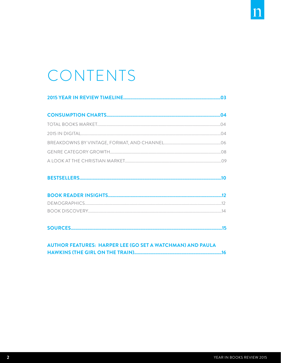# CONTENTS

|--|--|

|--|--|

|--|

#### **AUTHOR FEATURES: HARPER LEE (GO SET A WATCHMAN) AND PAULA**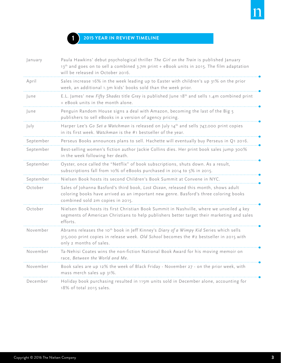

#### **1 2015 Year in Review Timeline**

| January   | Paula Hawkins' debut psychological thriller The Girl on the Train is published January<br>13th and goes on to sell a combined 3.7m print + eBook units in 2015. The film adaptation<br>will be released in October 2016. |
|-----------|--------------------------------------------------------------------------------------------------------------------------------------------------------------------------------------------------------------------------|
| April     | Sales increase 16% in the week leading up to Easter with children's up 31% on the prior<br>week, an additional 1.3m kids' books sold than the week prior.                                                                |
| June      | E.L. James' new Fifty Shades title Grey is published June 18 <sup>th</sup> and sells 1.4m combined print<br>+ eBook units in the month alone.                                                                            |
| June      | Penguin Random House signs a deal with Amazon, becoming the last of the Big 5<br>publishers to sell eBooks in a version of agency pricing.                                                                               |
| July      | Harper Lee's Go Set a Watchman is released on July 14th and sells 747,000 print copies<br>in its first week. Watchman is the #1 bestseller of the year.                                                                  |
| September | Perseus Books announces plans to sell. Hachette will eventually buy Perseus in Q1 2016.                                                                                                                                  |
| September | Best-selling women's fiction author Jackie Collins dies. Her print book sales jump 300%<br>in the week following her death.                                                                                              |
| September | Oyster, once called the "Netflix" of book subscriptions, shuts down. As a result,<br>subscriptions fall from 10% of eBooks purchased in 2014 to 5% in 2015.                                                              |
| September | Nielsen Book hosts its second Children's Book Summit at Convene in NYC.                                                                                                                                                  |
| October   | Sales of Johanna Basford's third book, Lost Ocean, released this month, shows adult<br>coloring books have arrived as an important new genre. Basford's three coloring books<br>combined sold 2m copies in 2015.         |
| October   | Nielsen Book hosts its first Christian Book Summit in Nashville, where we unveiled 4 key<br>segments of American Christians to help publishers better target their marketing and sales<br>efforts.                       |
| November  | Abrams releases the 10 <sup>th</sup> book in Jeff Kinney's Diary of a Wimpy Kid Series which sells<br>315,000 print copies in release week. Old School becomes the #2 bestseller in 2015 with<br>only 2 months of sales. |
| November  | Ta-Nehisi Coates wins the non-fiction National Book Award for his moving memoir on<br>race, Between the World and Me.                                                                                                    |
| November  | Book sales are up 12% the week of Black Friday - November 27 - on the prior week, with<br>mass merch sales up 31%.                                                                                                       |
| December  | Holiday book purchasing resulted in 115m units sold in December alone, accounting for<br>18% of total 2015 sales.                                                                                                        |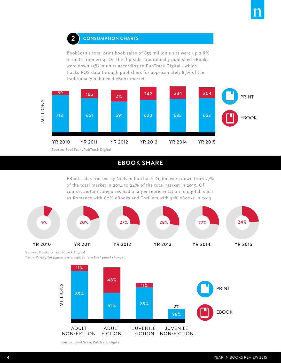#### **Consumption Charts 2**

BookScan's total print book sales of 653 million units were up 2.8% in units from 2014. On the flip side, traditionally published eBooks were down 13% in units according to PubTrack Digital - which tracks POS data through publishers for approximately 85% of the traditionally published eBook market.



#### **EBOOK SHARE**

EBook sales tracked by Nielsen PubTrack Digital were down from 27% of the total market in 2014 to 24% of the total market in 2015. Of course, certain categories had a larger representation in digital, such as Romance with 60% eBooks and Thrillers with 51% eBooks in 2015.



Source: BookScan/PubTrack Digital

*\*2015 PT-Digital figures are weighted to reflect panel changes.*



Source: BookScan/PubTrack Digital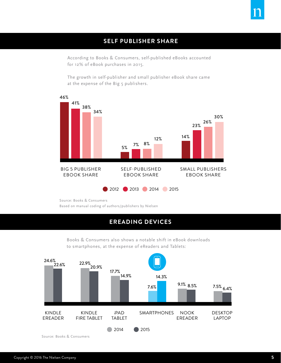

#### **SELF PUBLISHER SHARE**

According to Books & Consumers, self-published eBooks accounted for 12% of eBook purchases in 2015.

The growth in self-publisher and small publisher eBook share came at the expense of the Big 5 publishers.



Source: Books & Consumers Based on manual coding of authors/publishers by Nielsen

#### **EREADING DEVICES**

Books & Consumers also shows a notable shift in eBook downloads to smartphones, at the expense of eReaders and Tablets:



Source: Books & Consumers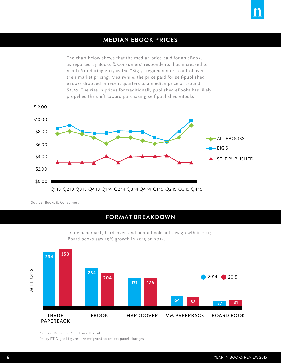#### **MEDIAN EBOOK PRICES**

The chart below shows that the median price paid for an eBook, as reported by Books & Consumers' respondents, has increased to nearly \$10 during 2015 as the "Big 5" regained more control over their market pricing. Meanwhile, the price paid for self-published eBooks dropped in recent quarters to a median price of around \$2.50. The rise in prices for traditionally published eBooks has likely propelled the shift toward purchasing self-published eBooks.



Source: Books & Consumers

#### **Format breakdown**



Trade paperback, hardcover, and board books all saw growth in 2015. Board books saw 19% growth in 2015 on 2014.

Source: BookScan/PubTrack Digital \* 2015 PT-Digital figures are weighted to reflect panel changes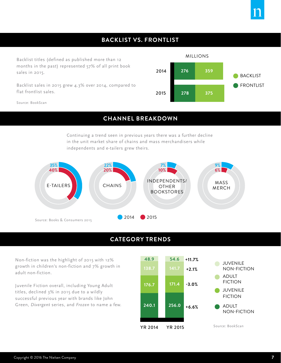#### **Backlist vS. frontlist**

Backlist titles (defined as published more than 12 months in the past) represented 57% of all print book sales in 2015.

Backlist sales in 2015 grew 4.3% over 2014, compared to flat frontlist sales.



Source: BookScan

#### **CHANNEL BREAKDOWN**

Continuing a trend seen in previous years there was a further decline in the unit market share of chains and mass merchandisers while independents and e-tailers grew theirs.



#### **CATEGORY TRENDS**

Non-fiction was the highlight of 2015 with 12% growth in children's non-fiction and 7% growth in adult non-fiction.

Juvenile Fiction overall, including Young Adult titles, declined 3% in 2015 due to a wildly successful previous year with brands like John Green, *Divergent* series, and *Frozen* to name a few.

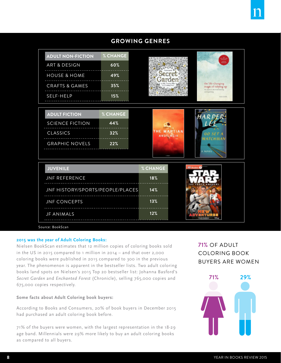### **Growing Genres**

| <b>ADULT NON-FICTION</b>         | % CHANGE |                  |  |                                          |
|----------------------------------|----------|------------------|--|------------------------------------------|
| <b>ART &amp; DESIGN</b>          | 60%      |                  |  |                                          |
| <b>HOUSE &amp; HOME</b>          | 49%      |                  |  |                                          |
| <b>CRAFTS &amp; GAMES</b>        | 35%      |                  |  | the life-changing<br>magic of tidying up |
| SELF-HELP                        | 15%      |                  |  | <b>Brandy Surre</b>                      |
|                                  |          |                  |  |                                          |
| <b>ADULT FICTION</b>             | % CHANGE |                  |  |                                          |
| <b>SCIENCE FICTION</b>           | 44%      |                  |  |                                          |
| <b>CLASSICS</b>                  | 32%      | <b>ANDY WEIR</b> |  |                                          |
| <b>GRAPHIC NOVELS</b>            | 22%      |                  |  |                                          |
|                                  |          |                  |  |                                          |
| <b>JUVENILE</b>                  |          | % CHANGE         |  |                                          |
| <b>JNF REFERENCE</b>             |          | 18%              |  |                                          |
| JNF HISTORY/SPORTS/PEOPLE/PLACES |          | 14%              |  |                                          |
| <b>JNF CONCEPTS</b>              |          | 13%              |  |                                          |
| <b>JF ANIMALS</b>                |          | 12%              |  |                                          |

Source: BookScan

#### **2015 was the year of Adult Coloring Books:**

Nielsen BookScan estimates that 12 million copies of coloring books sold in the US in 2015 compared to 1 million in 2014 – and that over 2,000 coloring books were published in 2015 compared to 300 in the previous year. The phenomenon is apparent in the bestseller lists. Two adult coloring books land spots on Nielsen's 2015 Top 20 bestseller list: Johanna Basford's *Secret Garden* and *Enchanted Forest* (Chronicle), selling 765,000 copies and 675,000 copies respectively.

#### **Some facts about Adult Coloring book buyers:**

According to Books and Consumers, 20% of book buyers in December 2015 had purchased an adult coloring book before.

71% of the buyers were women, with the largest representation in the 18-29 age band. Millennials were 29% more likely to buy an adult coloring books as compared to all buyers.

### **71%** of Adult Coloring book buyers are women

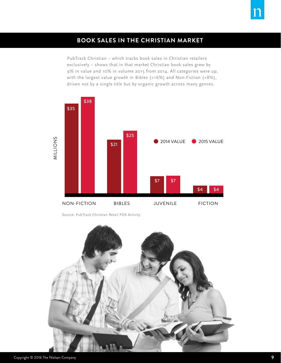#### **book sales in the christian market**

PubTrack Christian – which tracks book sales in Christian retailers exclusively – shows that in that market Christian book sales grew by 9% in value and 10% in volume 2015 from 2014. All categories were up, with the largest value growth in Bibles (+16%) and Non-Fiction (+8%), driven not by a single title but by organic growth across many genres.



Source: PubTrack Christian Retail POS Activity

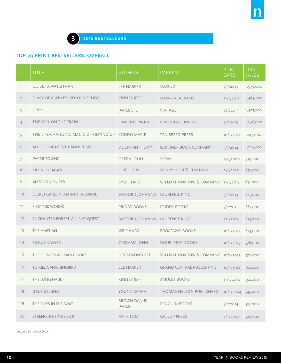#### **TOP 20 PRINT BESTSELLERS: Overall**

| $\#$           | <b>TITLE</b>                                      | <b>AUTHOR</b>                 | <b>IMPRINT</b>                     | <b>PUB</b><br><b>DATE</b> | 2015<br><b>SALES</b> |
|----------------|---------------------------------------------------|-------------------------------|------------------------------------|---------------------------|----------------------|
| $\mathbb{I}$   | <b>GO SET A WATCHMAN</b>                          | <b>LEE HARPER</b>             | <b>HARPER</b>                      | 7/1/2015                  | 1,599,000            |
| $\overline{2}$ | DIARY OF A WIMPY KID: OLD SCHOOL                  | KINNEY JEFF                   | <b>HARRY N. ABRAMS</b>             | 11/1/2015                 | 1,484,000            |
| $\overline{3}$ | GREY                                              | JAMES E. L.                   | <b>VINTAGE</b>                     | 6/1/2015                  | 1,407,000            |
| $\overline{4}$ | THE GIRL ON THE TRAIN                             | <b>HAWKINS PAULA</b>          | RIVERHEAD BOOKS                    | 1/1/2015                  | 1,346,000            |
| 5              | THE LIFE-CHANGING MAGIC OF TIDYING UP KONDO MARIE |                               | TEN SPEED PRESS                    | 10/1/2014                 | 1,143,000            |
| 6              | ALL THE LIGHT WE CANNOT SEE                       | <b>DOERR ANTHONY</b>          | <b>SCRIBNER BOOK COMPANY</b>       | 5/1/2014                  | 1,014,000            |
| $\overline{7}$ | PAPER TOWNS                                       | <b>GREEN JOHN</b>             | <b>SPEAK</b>                       | 9/1/2009                  | 919,000              |
| 8              | <b>KILLING REAGAN</b>                             | O'REILLY BILL                 | <b>HENRY HOLT &amp; COMPANY</b>    | 9/1/2015                  | 852,000              |
| $\overline{9}$ | <b>AMERICAN SNIPER</b>                            | <b>KYLE CHRIS</b>             | WILLIAM MORROW & COMPANY 11/1/2014 |                           | 851,000              |
| 10             | SECRET GARDEN: AN INKY TREASURE                   | BASFORD JOHANNA LAURENCE KING |                                    | 3/1/2013                  | 765,000              |
| 11             | FIRST 100 WORDS                                   | PRIDDY BOOKS                  | PRIDDY BOOKS                       | 5/1/2011                  | 685,000              |
| 12             | ENCHANTED FOREST: AN INKY QUEST                   | BASFORD JOHANNA LAURENCE KING |                                    | 2/1/2015                  | 675,000              |
| 13             | THE MARTIAN                                       | <b>WEIR ANDY</b>              | <b>BROADWAY BOOKS</b>              | 10/1/2014                 | 673,000              |
| 14             | ROGUE LAWYER                                      | <b>GRISHAM JOHN</b>           | <b>DOUBLEDAY BOOKS</b>             | 10/1/2015                 | 576,000              |
| 15             | THE PIONEER WOMAN COOKS                           | DRUMMOND REE                  | WILLIAM MORROW & COMPANY           | 10/1/2015                 | 570,000              |
| 16             | <b>TO KILL A MOCKINGBIRD</b>                      | <b>LEE HARPER</b>             | <b>GRAND CENTRAL PUBLISHING</b>    | 10/1/1988                 | 563,000              |
| 17             | THE LONG HAUL                                     | KINNEY JEFF                   | <b>AMULET BOOKS</b>                | 11/1/2014                 | 554,000              |
| 18             | <b>JESUS CALLING</b>                              | YOUNG SARAH                   | THOMAS NELSON PUBLISHERS           | 10/1/2004 545,000         |                      |
| 19             | THE BOYS IN THE BOAT                              | <b>BROWN DANIEL</b><br>JAMES  | PENGUIN BOOKS                      | 5/1/2014                  | 532,000              |
| 20             | <b>STRENGTHS FINDER 2.0</b>                       | RATH TOM                      | <b>GALLUP PRESS</b>                | 2/1/2007                  | 529,000              |

Source: BookScan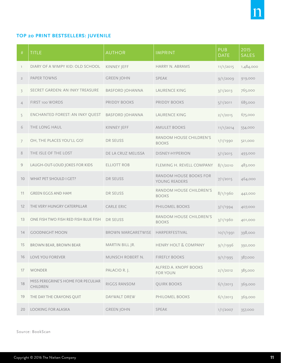#### **TOP 20 PRINT BESTSELLERS: JUVENILE**

| #              | <b>TITLE</b>                                   | <b>AUTHOR</b>             | <b>IMPRINT</b>                                 | <b>PUB</b><br><b>DATE</b> | 2015<br><b>SALES</b> |
|----------------|------------------------------------------------|---------------------------|------------------------------------------------|---------------------------|----------------------|
| $\mathbb{I}$   | DIARY OF A WIMPY KID: OLD SCHOOL               | KINNEY JEFF               | <b>HARRY N. ABRAMS</b>                         | 11/1/2015                 | 1,484,000            |
| $\overline{2}$ | PAPER TOWNS                                    | <b>GREEN JOHN</b>         | <b>SPEAK</b>                                   | 9/1/2009                  | 919,000              |
| $\overline{3}$ | <b>SECRET GARDEN: AN INKY TREASURE</b>         | <b>BASFORD JOHANNA</b>    | <b>LAURENCE KING</b>                           | 3/1/2013                  | 765,000              |
| $\overline{4}$ | FIRST 100 WORDS                                | PRIDDY BOOKS              | PRIDDY BOOKS                                   | 5/1/2011                  | 685,000              |
| 5              | ENCHANTED FOREST: AN INKY QUEST                | <b>BASFORD JOHANNA</b>    | <b>LAURENCE KING</b>                           | 2/1/2015                  | 675,000              |
| 6              | THE LONG HAUL                                  | KINNEY JEFF               | <b>AMULET BOOKS</b>                            | 11/1/2014                 | 554,000              |
| $\overline{7}$ | OH, THE PLACES YOU'LL GO!                      | <b>DR SEUSS</b>           | RANDOM HOUSE CHILDREN'S<br><b>BOOKS</b>        | 1/1/1990                  | 521,000              |
| 8              | THE ISLE OF THE LOST                           | DE LA CRUZ MELISSA        | <b>DISNEY-HYPERION</b>                         | 5/1/2015                  | 493,000              |
| $\mathcal{G}$  | LAUGH-OUT-LOUD JOKES FOR KIDS                  | <b>ELLIOTT ROB</b>        | FLEMING H. REVELL COMPANY                      | 8/1/2010                  | 483,000              |
| 10             | WHAT PET SHOULD I GET?                         | DR SEUSS                  | <b>RANDOM HOUSE BOOKS FOR</b><br>YOUNG READERS | 7/1/2015                  | 464,000              |
| 11             | <b>GREEN EGGS AND HAM</b>                      | <b>DR SEUSS</b>           | RANDOM HOUSE CHILDREN'S<br><b>BOOKS</b>        | 8/1/1960                  | 442,000              |
| 12             | THE VERY HUNGRY CATERPILLAR                    | <b>CARLE ERIC</b>         | PHILOMEL BOOKS                                 | 3/1/1994                  | 407,000              |
| 13             | ONE FISH TWO FISH RED FISH BLUE FISH           | <b>DR SEUSS</b>           | RANDOM HOUSE CHILDREN'S<br><b>BOOKS</b>        | 3/1/1960                  | 401,000              |
| 14             | <b>GOODNIGHT MOON</b>                          | <b>BROWN MARGARETWISE</b> | HARPERFESTIVAL                                 | 10/1/1991                 | 398,000              |
| 15             | <b>BROWN BEAR, BROWN BEAR</b>                  | MARTIN BILL JR.           | <b>HENRY HOLT &amp; COMPANY</b>                | 9/1/1996                  | 392,000              |
| 16             | <b>LOVE YOU FOREVER</b>                        | MUNSCH ROBERT N.          | <b>FIREFLY BOOKS</b>                           | 9/1/1995                  | 387,000              |
| 17             | <b>WONDER</b>                                  | PALACIO R. J.             | ALFRED A. KNOPF BOOKS<br><b>FOR YOUN</b>       | 2/1/2012                  | 385,000              |
| 18             | MISS PEREGRINE'S HOME FOR PECULIAR<br>CHILDREN | RIGGS RANSOM              | QUIRK BOOKS                                    | 6/1/2013                  | 369,000              |
| 19             | THE DAY THE CRAYONS QUIT                       | DAYWALT DREW              | PHILOMEL BOOKS                                 | 6/1/2013                  | 369,000              |
| 20             | <b>LOOKING FOR ALASKA</b>                      | <b>GREEN JOHN</b>         | <b>SPEAK</b>                                   | 1/1/2007                  | 357,000              |

Source: BookScan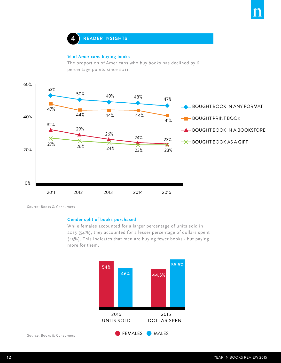

#### **% of Americans buying books**

The proportion of Americans who buy books has declined by 6 percentage points since 2011.



Source: Books & Consumers

#### **Gender split of books purchased**

While females accounted for a larger percentage of units sold in 2015 (54%), they accounted for a lesser percentage of dollars spent (45%). This indicates that men are buying fewer books - but paying more for them.

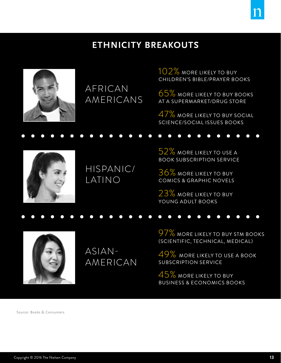## **Ethnicity breakouts**



AFRICAN AMERICANS 102% more likely to buy Children's Bible/Prayer Books

65% more likely to buy books at a supermarket/drug store

47% more likely to buy Social Science/Social Issues books



HISPANIC/ LATINO

52% more likely to use a book subscription service

36% more likely to buy Comics & Graphic Novels

23% more likely to buy Young Adult books



ASIAN-AMERICAN 97% more likely to buy STM books (Scientific, Technical, Medical)

49% more likely to use a book subscription service

45% more likely to buy Business & Economics books

Source: Books & Consumers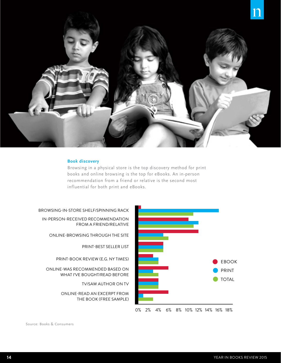

#### **Book discovery**

Browsing in a physical store is the top discovery method for print books and online browsing is the top for eBooks. An in-person recommendation from a friend or relative is the second most influential for both print and eBooks.





Source: Books & Consumers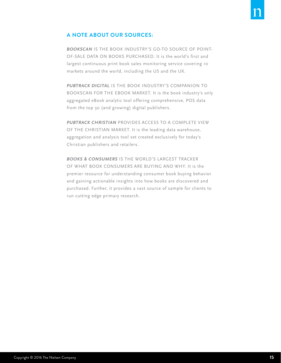#### **A NOTE ABOUT OUR SOURCES:**

*BOOKSCAN* IS THE BOOK INDUSTRY'S GO-TO SOURCE OF POINT-OF-SALE DATA ON BOOKS PURCHASED. It is the world's first and largest continuous print book sales monitoring service covering 10 markets around the world, including the US and the UK.

*PUBTRACK DIGITAL* IS THE BOOK INDUSTRY'S COMPANION TO BOOKSCAN FOR THE EBOOK MARKET. It is the book industry's only aggregated eBook analytic tool offering comprehensive, POS data from the top 30 (and growing) digital publishers.

*PUBTRACK CHRISTIAN* PROVIDES ACCESS TO A COMPLETE VIEW OF THE CHRISTIAN MARKET. It is the leading data warehouse, aggregation and analysis tool set created exclusively for today's Christian publishers and retailers.

*BOOKS & CONSUMERS* IS THE WORLD'S LARGEST TRACKER OF WHAT BOOK CONSUMERS ARE BUYING AND WHY. It is the premier resource for understanding consumer book buying behavior and gaining actionable insights into how books are discovered and purchased. Further, it provides a vast source of sample for clients to run cutting edge primary research.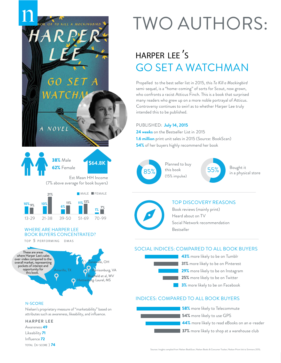

## **HARPER LEE 'S** GO SET A WATCHMAN

Propelled to the best seller list in 2015, this *To Kill a Mockingbird* semi-sequel, is a "home-coming" of sorts for Scout, now grown, who confronts a racist Atticus Finch. This is a book that surprised many readers who grew up on a more noble portrayal of Atticus. Controversy continues to swirl as to whether Harper Lee truly intended this to be published.

#### PUBLISHED: **July 14, 2015**

**24 weeks** on the Bestseller List in 2015 **1.6 million** print unit sales in 2015 (Source: BookScan) **54%** of her buyers highly recommend her book



Planned to buy this book (15% impulse)





#### TOP DISCOVERY REASONS

Book reviews (mainly print) Heard about on TV Social Network recommendation Bestseller

#### SOCIAL INDICES: COMPARED TO ALL BOOK BUYERS

**3%** more likely to be on Facebook 25% more likely to be on Twitter 43% more likely to be on Tumblr 29% more likely to be on Instagram 31% more likely to be on Pinterest

#### INDICES: COMPARED TO ALL BOOK BUYERS





GO SET A

тсні

NOVEL

#### **N-SCORE**

Nielsen's proprietary measure of "marketability" based on attributes such as awareness, likeability, and influence.

#### **HARPER LEE**

Awareness 49 Likeability 71 Influence 72 **TOTAL (N-SCORE )** 74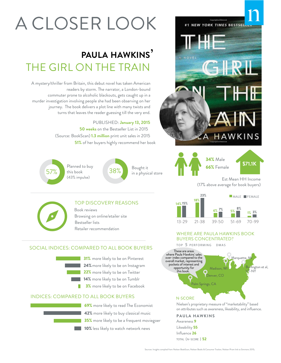# A CLOSER LOOK

## **PAULA HAWKINS'**  THE GIRL ON THE TRAIN

A mystery/thriller from Britain, this debut novel has taken American readers by storm. The narrator, a London-bound commuter prone to alcoholic blackouts, gets caught up in a murder investigation involving people she had been observing on her journey. The book delivers a plot line with many twists and turns that leaves the reader guessing till the very end.

#### PUBLISHED: **January 13, 2015**

**50 weeks** on the Bestseller List in 2015 (Source: BookScan) **1.3 million** print unit sales in 2015 **51%** of her buyers highly recommend her book

Planned to buy this book (43% impulse) 57%

38% Bought it<br>38% in a physical store

#### TOP DISCOVERY REASONS

 Book reviews Browsing on online/etailer site Bestseller lists

Retailer recommendation

#### SOCIAL INDICES: COMPARED TO ALL BOOK BUYERS



22% more likely to be on Twitter 24% more likely to be on Instagram

- 14% more likely to be on Tumblr
- **3%** more likely to be on Facebook

#### INDICES: COMPARED TO ALL BOOK BUYERS



**69%** more likely to read The Economist **42%** more likely to buy classical music **35%** more likely to be a frequent moviegoer 10% less likely to watch network news





(17% above average for book buyers)



#### WHERE ARE PAULA HAWKINS BOOK BUYERS CONCENTRATED?

**TOP 5 P E R F O R M I NG D M AS**



Nielsen's proprietary measure of "marketability" based on attributes such as awareness, likeability, and influence.

**PAULA HAWKINS** Awareness 9 Likeability 55 Influence 26 **TOTAL (N-SCORE )** 52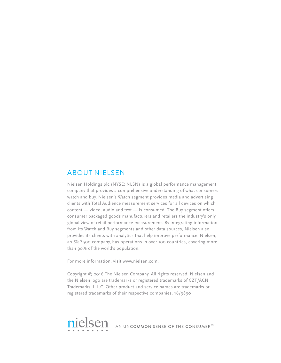#### About Nielsen

Nielsen Holdings plc (NYSE: NLSN) is a global performance management company that provides a comprehensive understanding of what consumers watch and buy. Nielsen's Watch segment provides media and advertising clients with Total Audience measurement services for all devices on which content — video, audio and text — is consumed. The Buy segment offers consumer packaged goods manufacturers and retailers the industry's only global view of retail performance measurement. By integrating information from its Watch and Buy segments and other data sources, Nielsen also provides its clients with analytics that help improve performance. Nielsen, an S&P 500 company, has operations in over 100 countries, covering more than 90% of the world's population.

For more information, visit www.nielsen.com.

Copyright © 2016 The Nielsen Company. All rights reserved. Nielsen and the Nielsen logo are trademarks or registered trademarks of CZT/ACN Trademarks, L.L.C. Other product and service names are trademarks or registered trademarks of their respective companies. 16/9890